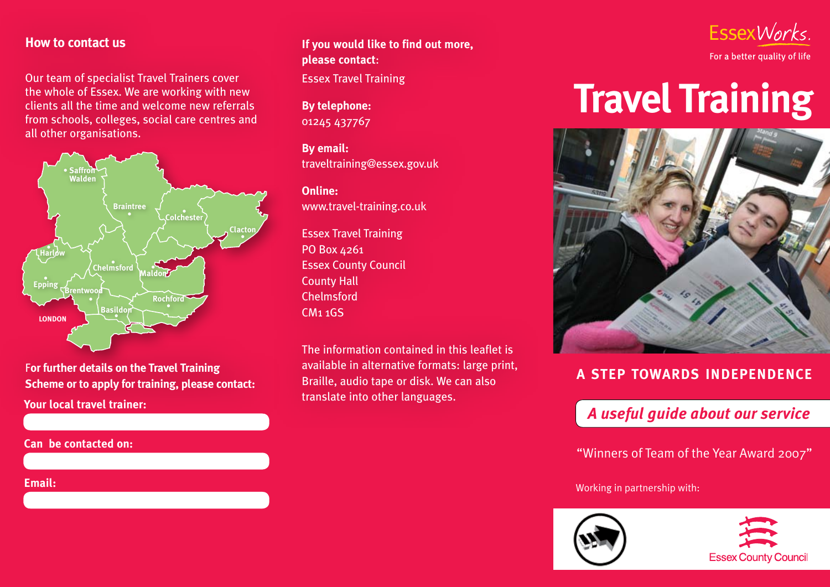#### **How to contact us**

Our team of specialist Travel Trainers cover the whole of Essex. We are working with new clients all the time and welcome new referrals from schools, colleges, social care centres and all other organisations.



F**or further details on the Travel Training Scheme or to apply for training, please contact: Your local travel trainer:**

**Can be contacted on:**

**If you would like to find out more, please contact**: Essex Travel Training

**By telephone:** 01245 437767

**By email:** traveltraining@essex.gov.uk

**Online:** www.travel-training.co.uk

Essex Travel Training PO Box 4261 Essex County Council County Hall Chelmsford CM1 1GS

The information contained in this leaflet is available in alternative formats: large print, Braille, audio tape or disk. We can also translate into other languages.



# **Travel Training**



## **a step towards independence**

# *A useful guide about our service*

"Winners of Team of the Year Award 2007"

**Email:** Working in partnership with: